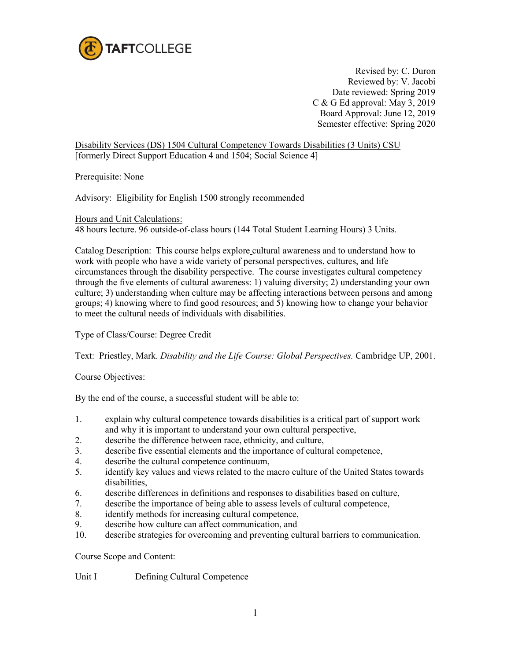

Revised by: C. Duron Reviewed by: V. Jacobi Date reviewed: Spring 2019 C & G Ed approval: May 3, 2019 Board Approval: June 12, 2019 Semester effective: Spring 2020

Disability Services (DS) 1504 Cultural Competency Towards Disabilities (3 Units) CSU [formerly Direct Support Education 4 and 1504; Social Science 4]

Prerequisite: None

Advisory: Eligibility for English 1500 strongly recommended

Hours and Unit Calculations:

48 hours lecture. 96 outside-of-class hours (144 Total Student Learning Hours) 3 Units.

Catalog Description: This course helps explore cultural awareness and to understand how to work with people who have a wide variety of personal perspectives, cultures, and life circumstances through the disability perspective. The course investigates cultural competency through the five elements of cultural awareness: 1) valuing diversity; 2) understanding your own culture; 3) understanding when culture may be affecting interactions between persons and among groups; 4) knowing where to find good resources; and 5) knowing how to change your behavior to meet the cultural needs of individuals with disabilities.

Type of Class/Course: Degree Credit

Text: Priestley, Mark. *Disability and the Life Course: Global Perspectives.* Cambridge UP, 2001.

Course Objectives:

By the end of the course, a successful student will be able to:

- 1. explain why cultural competence towards disabilities is a critical part of support work and why it is important to understand your own cultural perspective,
- 2. describe the difference between race, ethnicity, and culture,
- 3. describe five essential elements and the importance of cultural competence,
- 4. describe the [cultural competence continuum,](http://www.collegeofdirectsupport.com/Content/Sertoma/tn736mastgloss.htm#Culcompcont)
- 5. identify key values and views related to the macro culture of the United States towards disabilities,
- 6. describe differences in definitions and responses to disabilities based on culture,
- 7. describe the importance of being able to assess levels of cultural competence,
- 8. identify methods for increasing cultural competence,
- 9. describe how culture can affect communication, and
- 10. describe strategies for overcoming and preventing cultural barriers to communication.

Course Scope and Content:

Unit IDefining Cultural Competence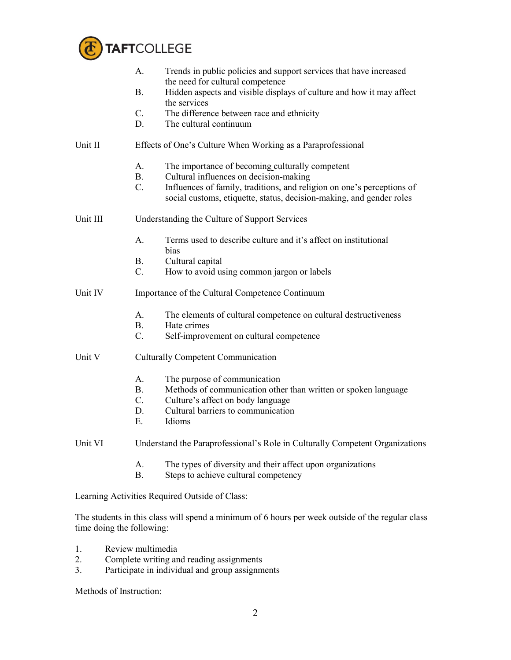

|          | A.                                                                           | Trends in public policies and support services that have increased                                                                                                                                                                          |  |
|----------|------------------------------------------------------------------------------|---------------------------------------------------------------------------------------------------------------------------------------------------------------------------------------------------------------------------------------------|--|
|          | <b>B.</b>                                                                    | the need for cultural competence<br>Hidden aspects and visible displays of culture and how it may affect<br>the services                                                                                                                    |  |
|          | $C_{\cdot}$<br>D.                                                            | The difference between race and ethnicity<br>The cultural continuum                                                                                                                                                                         |  |
| Unit II  | Effects of One's Culture When Working as a Paraprofessional                  |                                                                                                                                                                                                                                             |  |
|          | A.<br>B <sub>1</sub><br>$C_{\cdot}$                                          | The importance of becoming culturally competent<br>Cultural influences on decision-making<br>Influences of family, traditions, and religion on one's perceptions of<br>social customs, etiquette, status, decision-making, and gender roles |  |
| Unit III | Understanding the Culture of Support Services                                |                                                                                                                                                                                                                                             |  |
|          | A.                                                                           | Terms used to describe culture and it's affect on institutional<br>bias                                                                                                                                                                     |  |
|          | В.<br>$C_{\cdot}$                                                            | Cultural capital<br>How to avoid using common jargon or labels                                                                                                                                                                              |  |
| Unit IV  | Importance of the Cultural Competence Continuum                              |                                                                                                                                                                                                                                             |  |
|          | $A_{-}$<br>B <sub>r</sub><br>$C_{\cdot}$                                     | The elements of cultural competence on cultural destructiveness<br>Hate crimes<br>Self-improvement on cultural competence                                                                                                                   |  |
| Unit V   | <b>Culturally Competent Communication</b>                                    |                                                                                                                                                                                                                                             |  |
|          | $A_{\cdot}$<br>B <sub>r</sub><br>$C_{\cdot}$<br>D.<br>Ε.                     | The purpose of communication<br>Methods of communication other than written or spoken language<br>Culture's affect on body language<br>Cultural barriers to communication<br>Idioms                                                         |  |
| Unit VI  | Understand the Paraprofessional's Role in Culturally Competent Organizations |                                                                                                                                                                                                                                             |  |
|          | A.<br><b>B.</b>                                                              | The types of diversity and their affect upon organizations<br>Steps to achieve cultural competency                                                                                                                                          |  |

Learning Activities Required Outside of Class:

The students in this class will spend a minimum of 6 hours per week outside of the regular class time doing the following:

- 1. Review multimedia<br>2. Complete writing an
- 2. Complete writing and reading assignments
- 3. Participate in individual and group assignments

Methods of Instruction: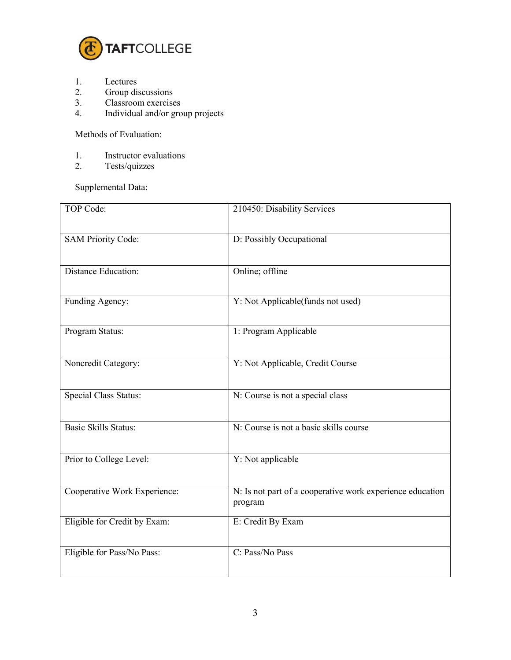

- 1. Lectures<br>2. Group dis
- 2. Group discussions<br>3. Classroom exercise
- 3. Classroom exercises<br>4. Individual and/or gro
- 4. Individual and/or group projects

Methods of Evaluation:

- 1. Instructor evaluations<br>2. Tests/quizzes
- Tests/quizzes

Supplemental Data:

| <b>TOP Code:</b>             | 210450: Disability Services                                          |
|------------------------------|----------------------------------------------------------------------|
| <b>SAM Priority Code:</b>    | D: Possibly Occupational                                             |
| <b>Distance Education:</b>   | Online; offline                                                      |
| Funding Agency:              | Y: Not Applicable(funds not used)                                    |
| Program Status:              | 1: Program Applicable                                                |
| Noncredit Category:          | Y: Not Applicable, Credit Course                                     |
| <b>Special Class Status:</b> | N: Course is not a special class                                     |
| <b>Basic Skills Status:</b>  | N: Course is not a basic skills course                               |
| Prior to College Level:      | Y: Not applicable                                                    |
| Cooperative Work Experience: | N: Is not part of a cooperative work experience education<br>program |
| Eligible for Credit by Exam: | E: Credit By Exam                                                    |
| Eligible for Pass/No Pass:   | C: Pass/No Pass                                                      |